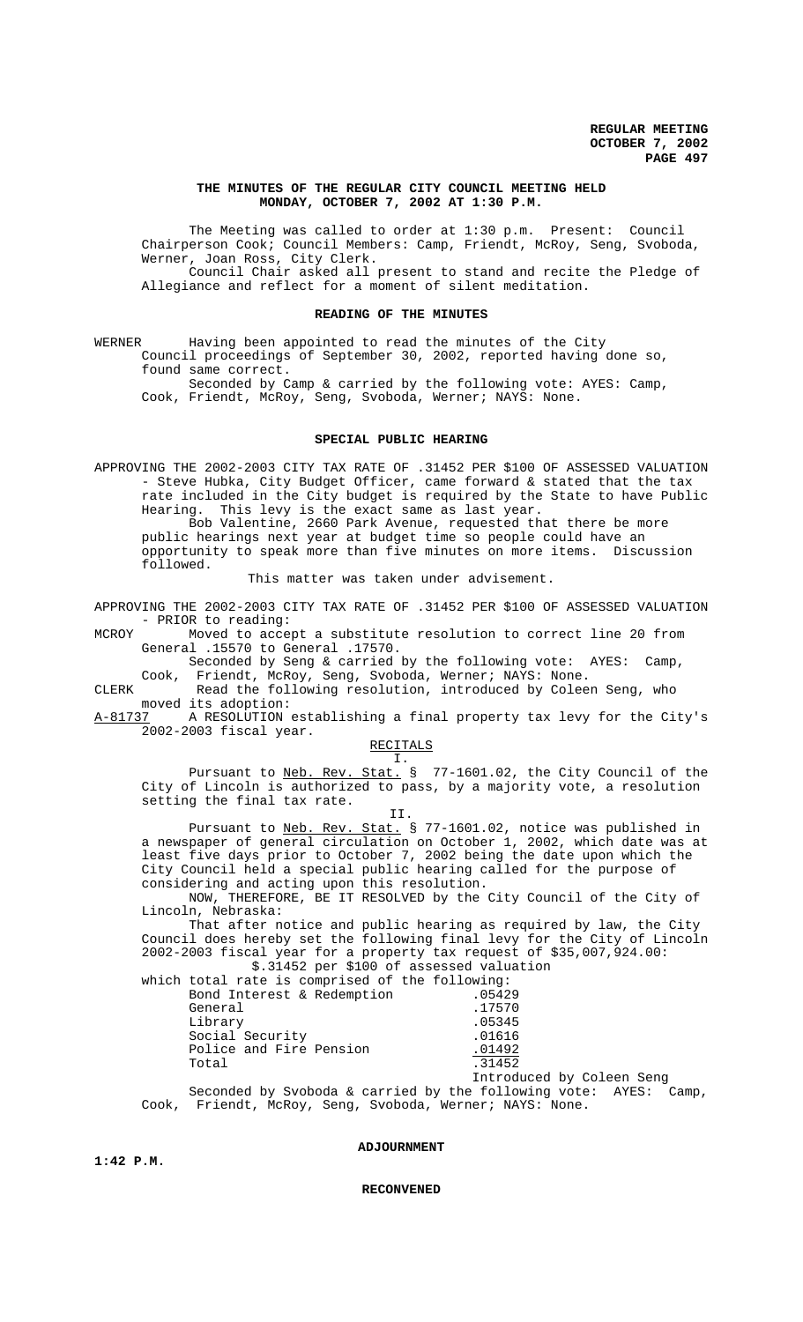# **THE MINUTES OF THE REGULAR CITY COUNCIL MEETING HELD MONDAY, OCTOBER 7, 2002 AT 1:30 P.M.**

The Meeting was called to order at 1:30 p.m. Present: Council Chairperson Cook; Council Members: Camp, Friendt, McRoy, Seng, Svoboda, Werner, Joan Ross, City Clerk. Council Chair asked all present to stand and recite the Pledge of Allegiance and reflect for a moment of silent meditation.

### **READING OF THE MINUTES**

WERNER Having been appointed to read the minutes of the City Council proceedings of September 30, 2002, reported having done so, found same correct.

Seconded by Camp & carried by the following vote: AYES: Camp, Cook, Friendt, McRoy, Seng, Svoboda, Werner; NAYS: None.

#### **SPECIAL PUBLIC HEARING**

APPROVING THE 2002-2003 CITY TAX RATE OF .31452 PER \$100 OF ASSESSED VALUATION - Steve Hubka, City Budget Officer, came forward & stated that the tax rate included in the City budget is required by the State to have Public Hearing. This levy is the exact same as last year.

Bob Valentine, 2660 Park Avenue, requested that there be more public hearings next year at budget time so people could have an opportunity to speak more than five minutes on more items. Discussion followed.

This matter was taken under advisement.

APPROVING THE 2002-2003 CITY TAX RATE OF .31452 PER \$100 OF ASSESSED VALUATION - PRIOR to reading:<br>MCROY Moved to acce

Moved to accept a substitute resolution to correct line 20 from General .15570 to General .17570.

Seconded by Seng & carried by the following vote: AYES: Camp, Cook, Friendt, McRoy, Seng, Svoboda, Werner; NAYS: None.

CLERK Read the following resolution, introduced by Coleen Seng, who moved its adoption:

A-81737 A RESOLUTION establishing a final property tax levy for the City's 2002-2003 fiscal year.

RECITALS I.

II.

Pursuant to <u>Neb. Rev. Stat.</u> § 77-1601.02, the City Council of the City of Lincoln is authorized to pass, by a majority vote, a resolution setting the final tax rate.

Pursuant to Neb. Rev. Stat. § 77-1601.02, notice was published in a newspaper of general circulation on October 1, 2002, which date was at least five days prior to October 7, 2002 being the date upon which the City Council held a special public hearing called for the purpose of considering and acting upon this resolution.

NOW, THEREFORE, BE IT RESOLVED by the City Council of the City of Lincoln, Nebraska:

That after notice and public hearing as required by law, the City Council does hereby set the following final levy for the City of Lincoln 2002-2003 fiscal year for a property tax request of \$35,007,924.00: \$.31452 per \$100 of assessed valuation

| which total rate is comprised of the following: |                           |
|-------------------------------------------------|---------------------------|
| Bond Interest & Redemption                      | .05429                    |
| General                                         | .17570                    |
| Library                                         | .05345                    |
| Social Security                                 | .01616                    |
| Police and Fire Pension                         | .01492                    |
| Total                                           | .31452                    |
|                                                 | Introduced by Coleen Seng |
|                                                 |                           |

Seconded by Svoboda & carried by the following vote: AYES: Camp, Cook, Friendt, McRoy, Seng, Svoboda, Werner; NAYS: None.

# **ADJOURNMENT**

### **RECONVENED**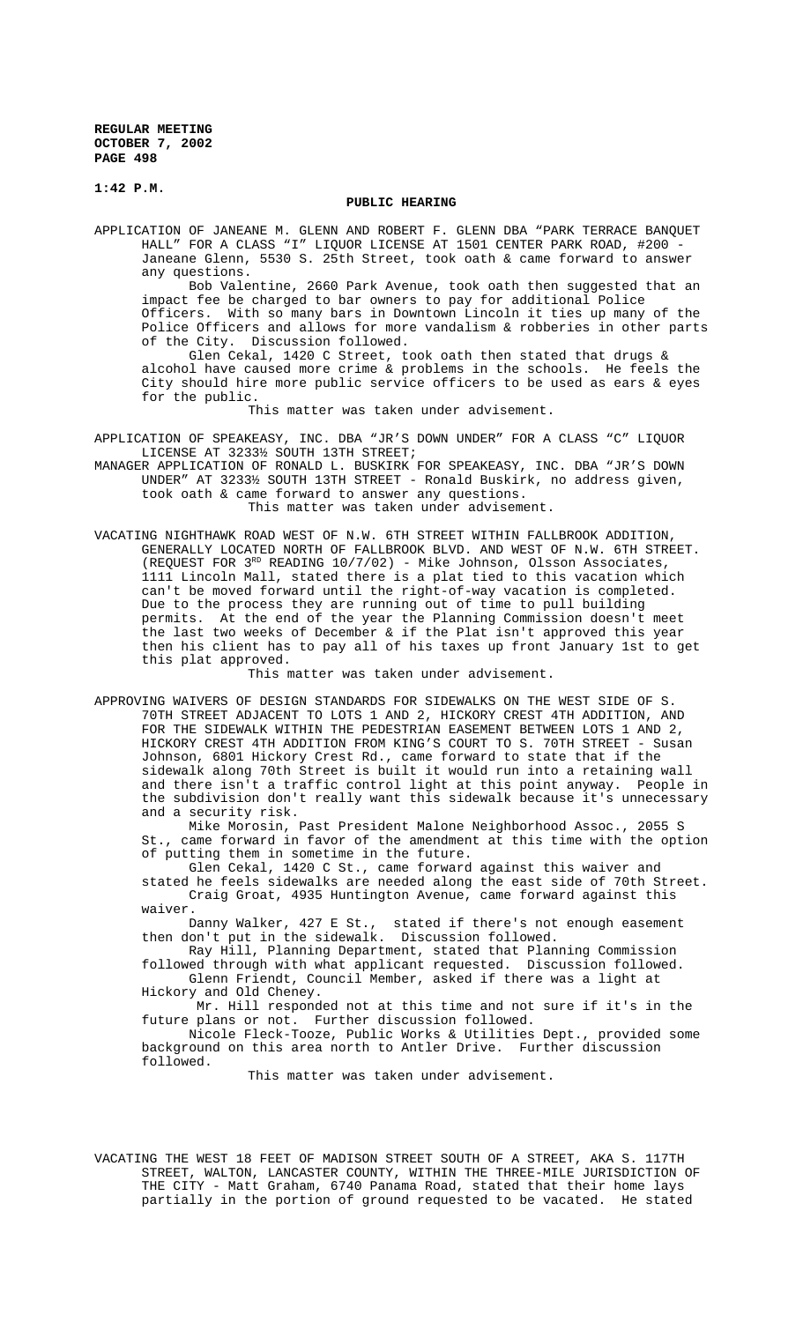**1:42 P.M.**

### **PUBLIC HEARING**

APPLICATION OF JANEANE M. GLENN AND ROBERT F. GLENN DBA "PARK TERRACE BANQUET HALL" FOR A CLASS "I" LIQUOR LICENSE AT 1501 CENTER PARK ROAD, #200 - Janeane Glenn, 5530 S. 25th Street, took oath & came forward to answer any questions.

Bob Valentine, 2660 Park Avenue, took oath then suggested that an impact fee be charged to bar owners to pay for additional Police Officers. With so many bars in Downtown Lincoln it ties up many of the Police Officers and allows for more vandalism & robberies in other parts of the City. Discussion followed.

Glen Cekal, 1420 C Street, took oath then stated that drugs & alcohol have caused more crime & problems in the schools. He feels the City should hire more public service officers to be used as ears & eyes for the public.

This matter was taken under advisement.

APPLICATION OF SPEAKEASY, INC. DBA "JR'S DOWN UNDER" FOR A CLASS "C" LIQUOR LICENSE AT 3233½ SOUTH 13TH STREET;

MANAGER APPLICATION OF RONALD L. BUSKIRK FOR SPEAKEASY, INC. DBA "JR'S DOWN UNDER" AT 3233½ SOUTH 13TH STREET - Ronald Buskirk, no address given, took oath & came forward to answer any questions.

This matter was taken under advisement.

VACATING NIGHTHAWK ROAD WEST OF N.W. 6TH STREET WITHIN FALLBROOK ADDITION, GENERALLY LOCATED NORTH OF FALLBROOK BLVD. AND WEST OF N.W. 6TH STREET. (REQUEST FOR 3<sup>RD</sup> READING 10/7/02) - Mike Johnson, Olsson Associates, 1111 Lincoln Mall, stated there is a plat tied to this vacation which can't be moved forward until the right-of-way vacation is completed. Due to the process they are running out of time to pull building permits. At the end of the year the Planning Commission doesn't meet the last two weeks of December & if the Plat isn't approved this year then his client has to pay all of his taxes up front January 1st to get this plat approved.

This matter was taken under advisement.

APPROVING WAIVERS OF DESIGN STANDARDS FOR SIDEWALKS ON THE WEST SIDE OF S. 70TH STREET ADJACENT TO LOTS 1 AND 2, HICKORY CREST 4TH ADDITION, AND FOR THE SIDEWALK WITHIN THE PEDESTRIAN EASEMENT BETWEEN LOTS 1 AND 2, HICKORY CREST 4TH ADDITION FROM KING'S COURT TO S. 70TH STREET - Susan Johnson, 6801 Hickory Crest Rd., came forward to state that if the sidewalk along 70th Street is built it would run into a retaining wall and there isn't a traffic control light at this point anyway. People in the subdivision don't really want this sidewalk because it's unnecessary and a security risk.

Mike Morosin, Past President Malone Neighborhood Assoc., 2055 S St., came forward in favor of the amendment at this time with the option of putting them in sometime in the future.

Glen Cekal, 1420 C St., came forward against this waiver and stated he feels sidewalks are needed along the east side of 70th Street. Craig Groat, 4935 Huntington Avenue, came forward against this waiver.

Danny Walker, 427 E St., stated if there's not enough easement then don't put in the sidewalk. Discussion followed.

Ray Hill, Planning Department, stated that Planning Commission followed through with what applicant requested. Discussion followed. Glenn Friendt, Council Member, asked if there was a light at

Hickory and Old Cheney. Mr. Hill responded not at this time and not sure if it's in the future plans or not. Further discussion followed.

Nicole Fleck-Tooze, Public Works & Utilities Dept., provided some background on this area north to Antler Drive. Further discussion followed.

This matter was taken under advisement.

VACATING THE WEST 18 FEET OF MADISON STREET SOUTH OF A STREET, AKA S. 117TH STREET, WALTON, LANCASTER COUNTY, WITHIN THE THREE-MILE JURISDICTION OF THE CITY - Matt Graham, 6740 Panama Road, stated that their home lays partially in the portion of ground requested to be vacated. He stated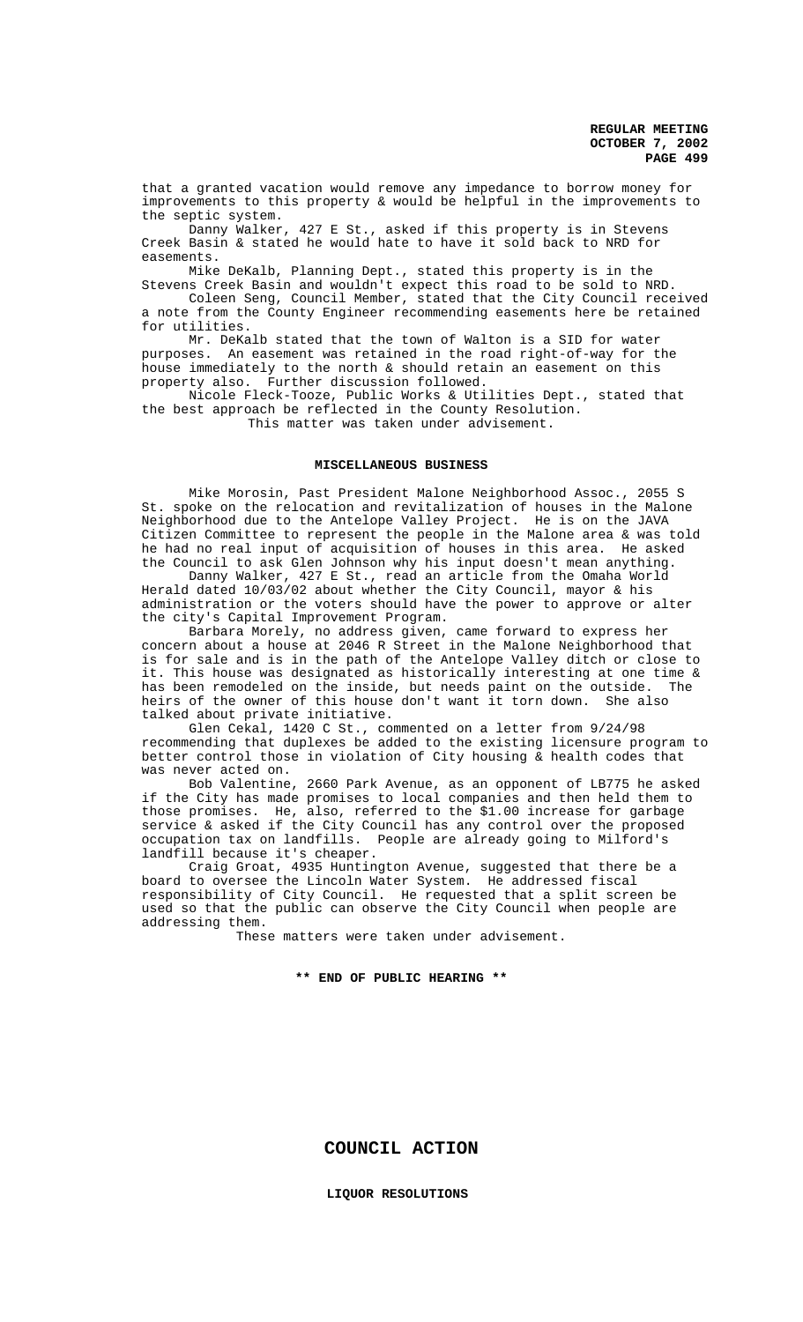that a granted vacation would remove any impedance to borrow money for improvements to this property & would be helpful in the improvements to the septic system.

Danny Walker, 427 E St., asked if this property is in Stevens Creek Basin & stated he would hate to have it sold back to NRD for easements.

Mike DeKalb, Planning Dept., stated this property is in the Stevens Creek Basin and wouldn't expect this road to be sold to NRD.

Coleen Seng, Council Member, stated that the City Council received a note from the County Engineer recommending easements here be retained for utilities.

Mr. DeKalb stated that the town of Walton is a SID for water purposes. An easement was retained in the road right-of-way for the house immediately to the north & should retain an easement on this property also. Further discussion followed.

Nicole Fleck-Tooze, Public Works & Utilities Dept., stated that the best approach be reflected in the County Resolution. This matter was taken under advisement.

#### **MISCELLANEOUS BUSINESS**

Mike Morosin, Past President Malone Neighborhood Assoc., 2055 S St. spoke on the relocation and revitalization of houses in the Malone Neighborhood due to the Antelope Valley Project. He is on the JAVA Citizen Committee to represent the people in the Malone area & was told he had no real input of acquisition of houses in this area. He asked the Council to ask Glen Johnson why his input doesn't mean anything.

Danny Walker, 427 E St., read an article from the Omaha World Herald dated 10/03/02 about whether the City Council, mayor & his administration or the voters should have the power to approve or alter the city's Capital Improvement Program.

Barbara Morely, no address given, came forward to express her concern about a house at 2046 R Street in the Malone Neighborhood that is for sale and is in the path of the Antelope Valley ditch or close to it. This house was designated as historically interesting at one time & has been remodeled on the inside, but needs paint on the outside. The heirs of the owner of this house don't want it torn down. She also talked about private initiative.

Glen Cekal, 1420 C St., commented on a letter from 9/24/98 recommending that duplexes be added to the existing licensure program to better control those in violation of City housing & health codes that was never acted on.

Bob Valentine, 2660 Park Avenue, as an opponent of LB775 he asked if the City has made promises to local companies and then held them to those promises. He, also, referred to the \$1.00 increase for garbage service & asked if the City Council has any control over the proposed occupation tax on landfills. People are already going to Milford's landfill because it's cheaper.

Craig Groat, 4935 Huntington Avenue, suggested that there be a board to oversee the Lincoln Water System. He addressed fiscal responsibility of City Council. He requested that a split screen be used so that the public can observe the City Council when people are addressing them.

These matters were taken under advisement.

# **\*\* END OF PUBLIC HEARING \*\***

**COUNCIL ACTION**

**LIQUOR RESOLUTIONS**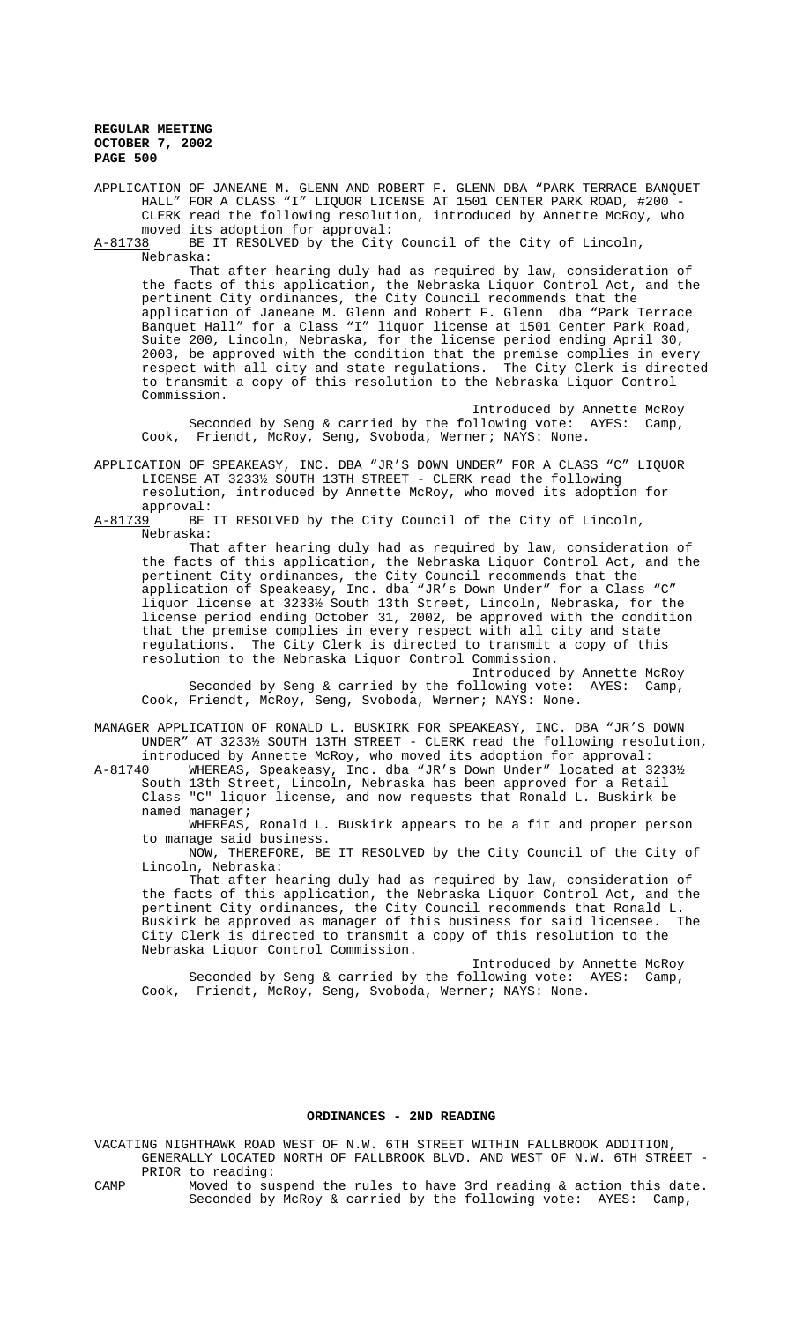APPLICATION OF JANEANE M. GLENN AND ROBERT F. GLENN DBA "PARK TERRACE BANQUET HALL" FOR A CLASS "I" LIQUOR LICENSE AT 1501 CENTER PARK ROAD, #200 - CLERK read the following resolution, introduced by Annette McRoy, who

moved its adoption for approval:<br>A-81738 BE IT RESOLVED by the City BE IT RESOLVED by the City Council of the City of Lincoln, Nebraska:

That after hearing duly had as required by law, consideration of the facts of this application, the Nebraska Liquor Control Act, and the pertinent City ordinances, the City Council recommends that the application of Janeane M. Glenn and Robert F. Glenn dba "Park Terrace Banquet Hall" for a Class "I" liquor license at 1501 Center Park Road, Suite 200, Lincoln, Nebraska, for the license period ending April 30, 2003, be approved with the condition that the premise complies in every respect with all city and state regulations. The City Clerk is directed to transmit a copy of this resolution to the Nebraska Liquor Control Commission.

Introduced by Annette McRoy Seconded by Seng & carried by the following vote: AYES: Camp, Cook, Friendt, McRoy, Seng, Svoboda, Werner; NAYS: None.

APPLICATION OF SPEAKEASY, INC. DBA "JR'S DOWN UNDER" FOR A CLASS "C" LIQUOR LICENSE AT 3233½ SOUTH 13TH STREET - CLERK read the following resolution, introduced by Annette McRoy, who moved its adoption for

approval:<br>A-81739 BE BE IT RESOLVED by the City Council of the City of Lincoln, Nebraska:

That after hearing duly had as required by law, consideration of the facts of this application, the Nebraska Liquor Control Act, and the pertinent City ordinances, the City Council recommends that the application of Speakeasy, Inc. dba "JR's Down Under" for a Class "C" liquor license at 3233½ South 13th Street, Lincoln, Nebraska, for the license period ending October 31, 2002, be approved with the condition that the premise complies in every respect with all city and state regulations. The City Clerk is directed to transmit a copy of this resolution to the Nebraska Liquor Control Commission.

Introduced by Annette McRoy Seconded by Seng & carried by the following vote: AYES: Camp, Cook, Friendt, McRoy, Seng, Svoboda, Werner; NAYS: None.

MANAGER APPLICATION OF RONALD L. BUSKIRK FOR SPEAKEASY, INC. DBA "JR'S DOWN UNDER" AT 3233½ SOUTH 13TH STREET - CLERK read the following resolution, introduced by Annette McRoy, who moved its adoption for approval:

A-81740 WHEREAS, Speakeasy, Inc. dba "JR's Down Under" located at 3233½ South 13th Street, Lincoln, Nebraska has been approved for a Retail Class "C" liquor license, and now requests that Ronald L. Buskirk be named manager;

WHEREAS, Ronald L. Buskirk appears to be a fit and proper person to manage said business.

NOW, THEREFORE, BE IT RESOLVED by the City Council of the City of Lincoln, Nebraska:

That after hearing duly had as required by law, consideration of the facts of this application, the Nebraska Liquor Control Act, and the pertinent City ordinances, the City Council recommends that Ronald L. Buskirk be approved as manager of this business for said licensee. The City Clerk is directed to transmit a copy of this resolution to the Nebraska Liquor Control Commission.

Introduced by Annette McRoy Seconded by Seng & carried by the following vote: AYES: Camp, Cook, Friendt, McRoy, Seng, Svoboda, Werner; NAYS: None.

# **ORDINANCES - 2ND READING**

VACATING NIGHTHAWK ROAD WEST OF N.W. 6TH STREET WITHIN FALLBROOK ADDITION, GENERALLY LOCATED NORTH OF FALLBROOK BLVD. AND WEST OF N.W. 6TH STREET - PRIOR to reading:

CAMP Moved to suspend the rules to have 3rd reading & action this date. Seconded by McRoy & carried by the following vote: AYES: Camp,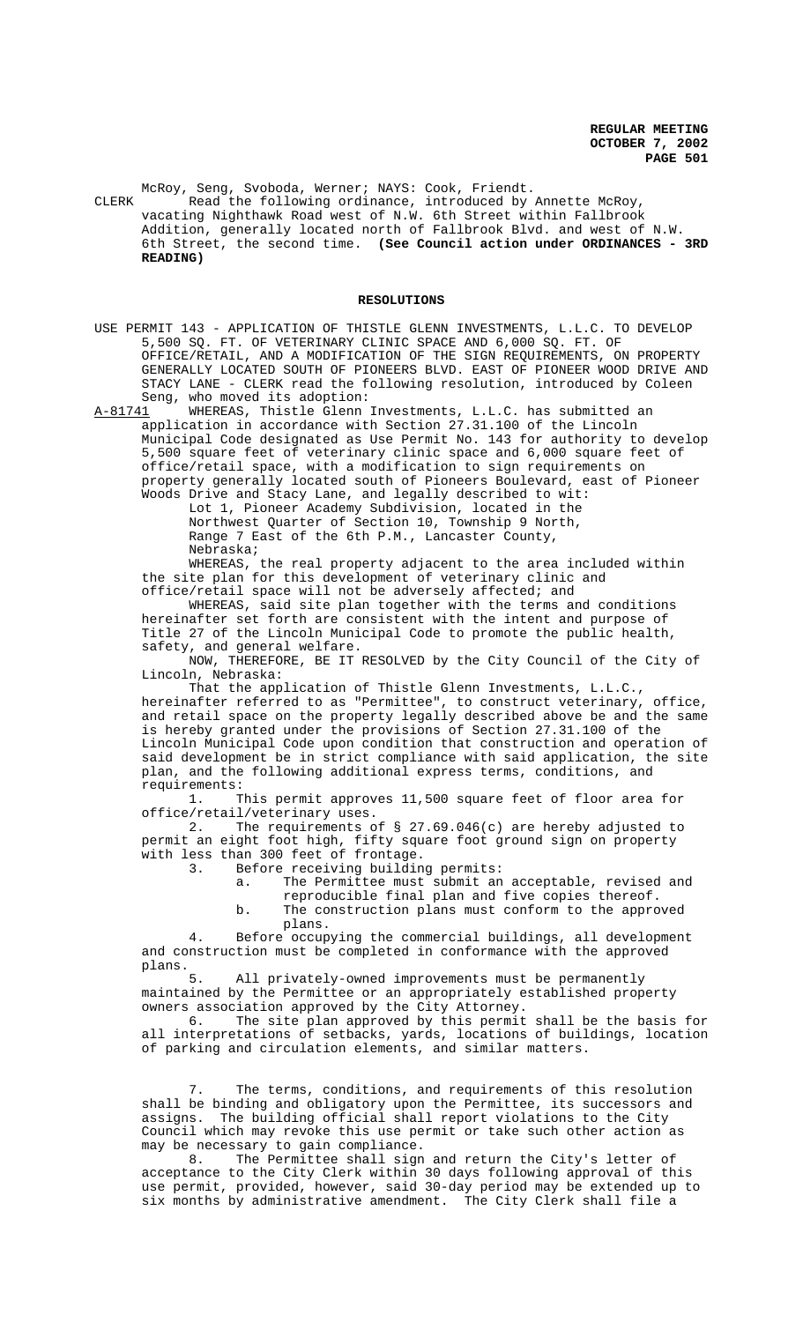McRoy, Seng, Svoboda, Werner; NAYS: Cook, Friendt. CLERK Read the following ordinance, introduced by Annette McRoy, vacating Nighthawk Road west of N.W. 6th Street within Fallbrook Addition, generally located north of Fallbrook Blvd. and west of N.W. 6th Street, the second time. **(See Council action under ORDINANCES - 3RD READING)** 

#### **RESOLUTIONS**

USE PERMIT 143 - APPLICATION OF THISTLE GLENN INVESTMENTS, L.L.C. TO DEVELOP 5,500 SQ. FT. OF VETERINARY CLINIC SPACE AND 6,000 SQ. FT. OF OFFICE/RETAIL, AND A MODIFICATION OF THE SIGN REQUIREMENTS, ON PROPERTY GENERALLY LOCATED SOUTH OF PIONEERS BLVD. EAST OF PIONEER WOOD DRIVE AND STACY LANE - CLERK read the following resolution, introduced by Coleen Seng, who moved its adoption:

A-81741 WHEREAS, Thistle Glenn Investments, L.L.C. has submitted an application in accordance with Section 27.31.100 of the Lincoln Municipal Code designated as Use Permit No. 143 for authority to develop 5,500 square feet of veterinary clinic space and 6,000 square feet of office/retail space, with a modification to sign requirements on property generally located south of Pioneers Boulevard, east of Pioneer Woods Drive and Stacy Lane, and legally described to wit:

Lot 1, Pioneer Academy Subdivision, located in the Northwest Quarter of Section 10, Township 9 North, Range 7 East of the 6th P.M., Lancaster County, Nebraska;

WHEREAS, the real property adjacent to the area included within the site plan for this development of veterinary clinic and office/retail space will not be adversely affected; and

WHEREAS, said site plan together with the terms and conditions hereinafter set forth are consistent with the intent and purpose of Title 27 of the Lincoln Municipal Code to promote the public health, safety, and general welfare.

NOW, THEREFORE, BE IT RESOLVED by the City Council of the City of Lincoln, Nebraska:

That the application of Thistle Glenn Investments, L.L.C., hereinafter referred to as "Permittee", to construct veterinary, office, and retail space on the property legally described above be and the same is hereby granted under the provisions of Section 27.31.100 of the Lincoln Municipal Code upon condition that construction and operation of said development be in strict compliance with said application, the site plan, and the following additional express terms, conditions, and requirements:

1. This permit approves 11,500 square feet of floor area for

office/retail/veterinary uses.<br>2. The requirements o The requirements of  $\S$  27.69.046(c) are hereby adjusted to permit an eight foot high, fifty square foot ground sign on property with less than 300 feet of frontage.<br>3. Before receiving buildin

Before receiving building permits:

- a. The Permittee must submit an acceptable, revised and reproducible final plan and five copies thereof.
- b. The construction plans must conform to the approved plans.

4. Before occupying the commercial buildings, all development and construction must be completed in conformance with the approved plans.

5. All privately-owned improvements must be permanently maintained by the Permittee or an appropriately established property

owners association approved by the City Attorney.<br>6. The site plan approved by this permit The site plan approved by this permit shall be the basis for all interpretations of setbacks, yards, locations of buildings, location of parking and circulation elements, and similar matters.

7. The terms, conditions, and requirements of this resolution shall be binding and obligatory upon the Permittee, its successors and assigns. The building official shall report violations to the City Council which may revoke this use permit or take such other action as may be necessary to gain compliance.

8. The Permittee shall sign and return the City's letter of acceptance to the City Clerk within 30 days following approval of this use permit, provided, however, said 30-day period may be extended up to six months by administrative amendment. The City Clerk shall file a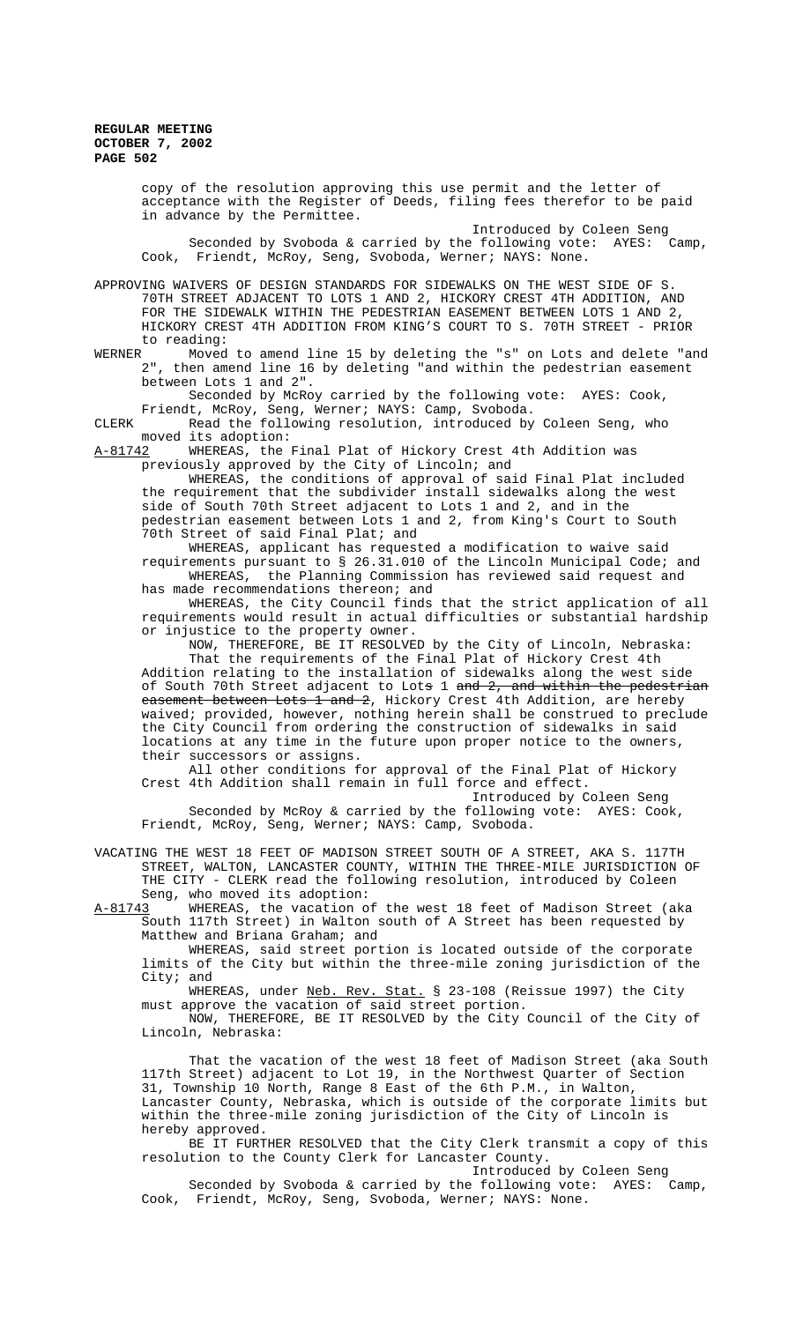copy of the resolution approving this use permit and the letter of acceptance with the Register of Deeds, filing fees therefor to be paid in advance by the Permittee. Introduced by Coleen Seng Seconded by Svoboda & carried by the following vote: AYES: Camp, Cook, Friendt, McRoy, Seng, Svoboda, Werner; NAYS: None. APPROVING WAIVERS OF DESIGN STANDARDS FOR SIDEWALKS ON THE WEST SIDE OF S. 70TH STREET ADJACENT TO LOTS 1 AND 2, HICKORY CREST 4TH ADDITION, AND FOR THE SIDEWALK WITHIN THE PEDESTRIAN EASEMENT BETWEEN LOTS 1 AND 2, HICKORY CREST 4TH ADDITION FROM KING'S COURT TO S. 70TH STREET - PRIOR to reading:<br>WERNER Moved Moved to amend line 15 by deleting the "s" on Lots and delete "and 2", then amend line 16 by deleting "and within the pedestrian easement between Lots 1 and 2". Seconded by McRoy carried by the following vote: AYES: Cook, Friendt, McRoy, Seng, Werner; NAYS: Camp, Svoboda. CLERK Read the following resolution, introduced by Coleen Seng, who moved its adoption:<br>A-8<u>1742</u> WHEREAS, the WHEREAS, the Final Plat of Hickory Crest 4th Addition was previously approved by the City of Lincoln; and WHEREAS, the conditions of approval of said Final Plat included the requirement that the subdivider install sidewalks along the west side of South 70th Street adjacent to Lots 1 and 2, and in the pedestrian easement between Lots 1 and 2, from King's Court to South .<br>70th Street of said Final Plat; and WHEREAS, applicant has requested a modification to waive said requirements pursuant to § 26.31.010 of the Lincoln Municipal Code; and WHEREAS, the Planning Commission has reviewed said request and has made recommendations thereon; and WHEREAS, the City Council finds that the strict application of all requirements would result in actual difficulties or substantial hardship or injustice to the property owner. NOW, THEREFORE, BE IT RESOLVED by the City of Lincoln, Nebraska: That the requirements of the Final Plat of Hickory Crest 4th Addition relating to the installation of sidewalks along the west side of South 70th Street adjacent to Lots 1 and 2, and within the pedestrian easement between Lots 1 and 2, Hickory Crest 4th Addition, are hereby waived; provided, however, nothing herein shall be construed to preclude the City Council from ordering the construction of sidewalks in said locations at any time in the future upon proper notice to the owners, their successors or assigns. All other conditions for approval of the Final Plat of Hickory Crest 4th Addition shall remain in full force and effect. Introduced by Coleen Seng Seconded by McRoy & carried by the following vote: AYES: Cook, Friendt, McRoy, Seng, Werner; NAYS: Camp, Svoboda. VACATING THE WEST 18 FEET OF MADISON STREET SOUTH OF A STREET, AKA S. 117TH STREET, WALTON, LANCASTER COUNTY, WITHIN THE THREE-MILE JURISDICTION OF THE CITY - CLERK read the following resolution, introduced by Coleen Seng, who moved its adoption: A-81743 WHEREAS, the vacation of the west 18 feet of Madison Street (aka South 117th Street) in Walton south of A Street has been requested by Matthew and Briana Graham; and WHEREAS, said street portion is located outside of the corporate limits of the City but within the three-mile zoning jurisdiction of the City; and WHEREAS, under Neb. Rev. Stat. § 23-108 (Reissue 1997) the City must approve the vacation of said street portion. NOW, THEREFORE, BE IT RESOLVED by the City Council of the City of Lincoln, Nebraska: That the vacation of the west 18 feet of Madison Street (aka South 117th Street) adjacent to Lot 19, in the Northwest Quarter of Section 31, Township 10 North, Range 8 East of the 6th P.M., in Walton, Lancaster County, Nebraska, which is outside of the corporate limits but within the three-mile zoning jurisdiction of the City of Lincoln is hereby approved. BE IT FURTHER RESOLVED that the City Clerk transmit a copy of this resolution to the County Clerk for Lancaster County. Introduced by Coleen Seng Seconded by Svoboda & carried by the following vote: AYES: Camp, Cook, Friendt, McRoy, Seng, Svoboda, Werner; NAYS: None.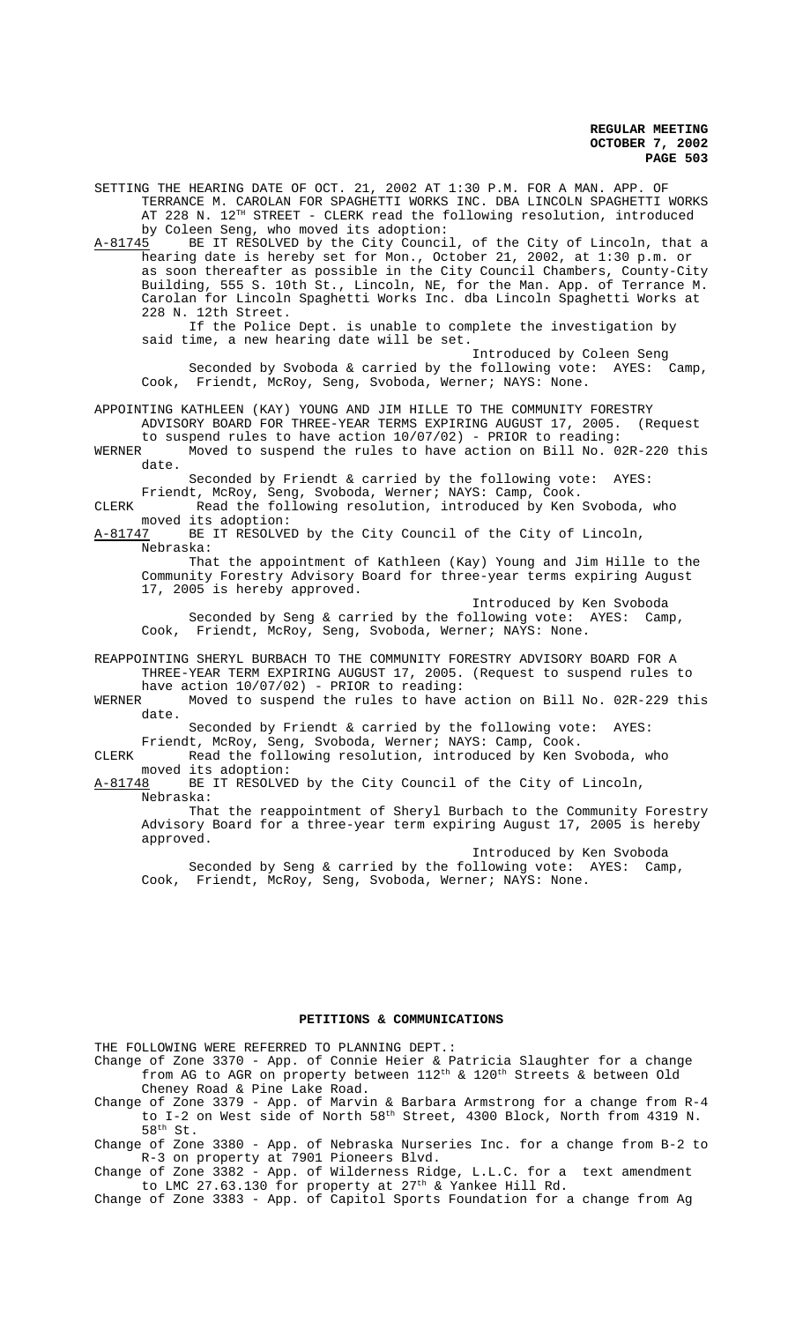SETTING THE HEARING DATE OF OCT. 21, 2002 AT 1:30 P.M. FOR A MAN. APP. OF TERRANCE M. CAROLAN FOR SPAGHETTI WORKS INC. DBA LINCOLN SPAGHETTI WORKS AT 228 N. 12<sup>TH</sup> STREET - CLERK read the following resolution, introduced by Coleen Seng, who moved its adoption:<br>A-81745 BE IT RESOLVED by the City Counci

BE IT RESOLVED by the City Council, of the City of Lincoln, that a hearing date is hereby set for Mon., October 21, 2002, at 1:30 p.m. or as soon thereafter as possible in the City Council Chambers, County-City Building, 555 S. 10th St., Lincoln, NE, for the Man. App. of Terrance M. Carolan for Lincoln Spaghetti Works Inc. dba Lincoln Spaghetti Works at 228 N. 12th Street.

If the Police Dept. is unable to complete the investigation by said time, a new hearing date will be set.

Introduced by Coleen Seng Seconded by Svoboda & carried by the following vote: AYES: Camp, Cook, Friendt, McRoy, Seng, Svoboda, Werner; NAYS: None.

APPOINTING KATHLEEN (KAY) YOUNG AND JIM HILLE TO THE COMMUNITY FORESTRY ADVISORY BOARD FOR THREE-YEAR TERMS EXPIRING AUGUST 17, 2005. (Request

to suspend rules to have action 10/07/02) - PRIOR to reading: WERNER Moved to suspend the rules to have action on Bill No. 02R-220 this date.

Seconded by Friendt & carried by the following vote: AYES:

Friendt, McRoy, Seng, Svoboda, Werner; NAYS: Camp, Cook. CLERK Read the following resolution, introduced by Ken Svoboda, who moved its adoption:

A-81747 BE IT RESOLVED by the City Council of the City of Lincoln, Nebraska:

That the appointment of Kathleen (Kay) Young and Jim Hille to the Community Forestry Advisory Board for three-year terms expiring August 17, 2005 is hereby approved.

Introduced by Ken Svoboda Seconded by Seng & carried by the following vote: AYES: Camp, Cook, Friendt, McRoy, Seng, Svoboda, Werner; NAYS: None.

REAPPOINTING SHERYL BURBACH TO THE COMMUNITY FORESTRY ADVISORY BOARD FOR A THREE-YEAR TERM EXPIRING AUGUST 17, 2005. (Request to suspend rules to

have action  $10/07/02$ ) - PRIOR to reading:<br>WERNER Moved to suspend the rules to have Moved to suspend the rules to have action on Bill No. 02R-229 this date.

Seconded by Friendt & carried by the following vote: AYES:

Friendt, McRoy, Seng, Svoboda, Werner; NAYS: Camp, Cook. CLERK Read the following resolution, introduced by Ken Svoboda, who

moved its adoption:

A-81748 BE IT RESOLVED by the City Council of the City of Lincoln, Nebraska:

That the reappointment of Sheryl Burbach to the Community Forestry Advisory Board for a three-year term expiring August 17, 2005 is hereby approved.

Introduced by Ken Svoboda Seconded by Seng & carried by the following vote: AYES: Camp, Cook, Friendt, McRoy, Seng, Svoboda, Werner; NAYS: None.

# **PETITIONS & COMMUNICATIONS**

THE FOLLOWING WERE REFERRED TO PLANNING DEPT.:

- Change of Zone 3370 App. of Connie Heier & Patricia Slaughter for a change from AG to AGR on property between  $112^{\text{th}}$  &  $120^{\text{th}}$  Streets & between Old Cheney Road & Pine Lake Road.
- Change of Zone 3379 App. of Marvin & Barbara Armstrong for a change from R-4 to I-2 on West side of North  $58^{\text{th}}$  Street, 4300 Block, North from 4319 N.  $58<sup>th</sup>$  St.

Change of Zone 3380 - App. of Nebraska Nurseries Inc. for a change from B-2 to R-3 on property at 7901 Pioneers Blvd.

Change of Zone 3382 - App. of Wilderness Ridge, L.L.C. for a text amendment to LMC 27.63.130 for property at  $27<sup>th</sup>$  & Yankee Hill Rd.

Change of Zone 3383 - App. of Capitol Sports Foundation for a change from Ag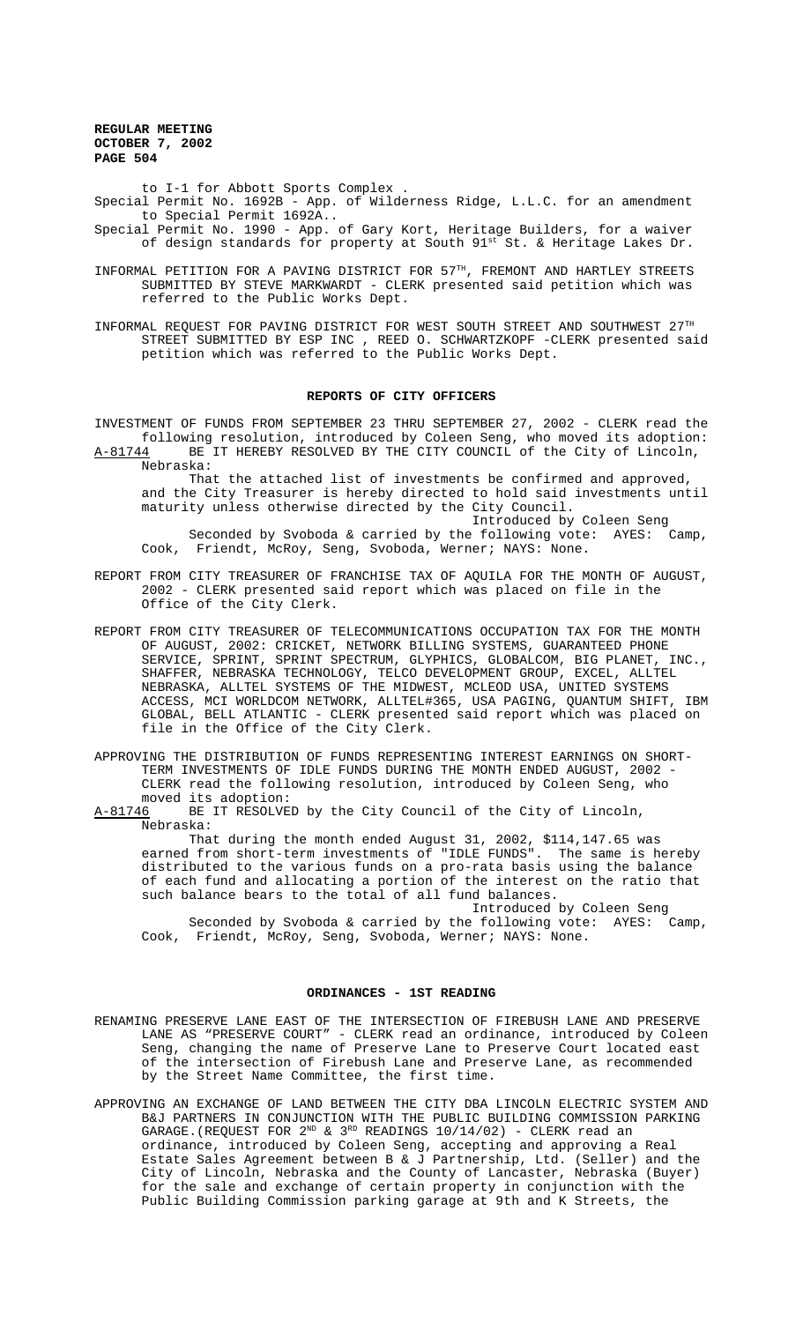to I-1 for Abbott Sports Complex .

- Special Permit No. 1692B App. of Wilderness Ridge, L.L.C. for an amendment to Special Permit 1692A..
- Special Permit No. 1990 App. of Gary Kort, Heritage Builders, for a waiver of design standards for property at South  $91^{\text{st}}$  St. & Heritage Lakes Dr.
- INFORMAL PETITION FOR A PAVING DISTRICT FOR 57TH, FREMONT AND HARTLEY STREETS SUBMITTED BY STEVE MARKWARDT - CLERK presented said petition which was referred to the Public Works Dept.
- INFORMAL REQUEST FOR PAVING DISTRICT FOR WEST SOUTH STREET AND SOUTHWEST 27TH STREET SUBMITTED BY ESP INC , REED O. SCHWARTZKOPF -CLERK presented said petition which was referred to the Public Works Dept.

### **REPORTS OF CITY OFFICERS**

INVESTMENT OF FUNDS FROM SEPTEMBER 23 THRU SEPTEMBER 27, 2002 - CLERK read the following resolution, introduced by Coleen Seng, who moved its adoption: A-81744 BE IT HEREBY RESOLVED BY THE CITY COUNCIL of the City of Lincoln, Nebraska:

That the attached list of investments be confirmed and approved, and the City Treasurer is hereby directed to hold said investments until maturity unless otherwise directed by the City Council. Introduced by Coleen Seng

Seconded by Svoboda & carried by the following vote: AYES: Camp, Cook, Friendt, McRoy, Seng, Svoboda, Werner; NAYS: None.

- REPORT FROM CITY TREASURER OF FRANCHISE TAX OF AQUILA FOR THE MONTH OF AUGUST, 2002 - CLERK presented said report which was placed on file in the Office of the City Clerk.
- REPORT FROM CITY TREASURER OF TELECOMMUNICATIONS OCCUPATION TAX FOR THE MONTH OF AUGUST, 2002: CRICKET, NETWORK BILLING SYSTEMS, GUARANTEED PHONE SERVICE, SPRINT, SPRINT SPECTRUM, GLYPHICS, GLOBALCOM, BIG PLANET, INC., SHAFFER, NEBRASKA TECHNOLOGY, TELCO DEVELOPMENT GROUP, EXCEL, ALLTEL NEBRASKA, ALLTEL SYSTEMS OF THE MIDWEST, MCLEOD USA, UNITED SYSTEMS ACCESS, MCI WORLDCOM NETWORK, ALLTEL#365, USA PAGING, QUANTUM SHIFT, IBM GLOBAL, BELL ATLANTIC - CLERK presented said report which was placed on file in the Office of the City Clerk.
- APPROVING THE DISTRIBUTION OF FUNDS REPRESENTING INTEREST EARNINGS ON SHORT-TERM INVESTMENTS OF IDLE FUNDS DURING THE MONTH ENDED AUGUST, 2002 - CLERK read the following resolution, introduced by Coleen Seng, who moved its adoption:

A-81746 BE IT RESOLVED by the City Council of the City of Lincoln, Nebraska:

That during the month ended August 31, 2002, \$114,147.65 was earned from short-term investments of "IDLE FUNDS". The same is hereby distributed to the various funds on a pro-rata basis using the balance of each fund and allocating a portion of the interest on the ratio that such balance bears to the total of all fund balances.

Introduced by Coleen Seng Seconded by Svoboda & carried by the following vote: AYES: Camp, Cook, Friendt, McRoy, Seng, Svoboda, Werner; NAYS: None.

# **ORDINANCES - 1ST READING**

- RENAMING PRESERVE LANE EAST OF THE INTERSECTION OF FIREBUSH LANE AND PRESERVE LANE AS "PRESERVE COURT" - CLERK read an ordinance, introduced by Coleen Seng, changing the name of Preserve Lane to Preserve Court located east of the intersection of Firebush Lane and Preserve Lane, as recommended by the Street Name Committee, the first time.
- APPROVING AN EXCHANGE OF LAND BETWEEN THE CITY DBA LINCOLN ELECTRIC SYSTEM AND B&J PARTNERS IN CONJUNCTION WITH THE PUBLIC BUILDING COMMISSION PARKING GARAGE.(REQUEST FOR  $2^{ND}$  &  $3^{RD}$  READINGS  $10/14/02$ ) - CLERK read an ordinance, introduced by Coleen Seng, accepting and approving a Real Estate Sales Agreement between B & J Partnership, Ltd. (Seller) and the City of Lincoln, Nebraska and the County of Lancaster, Nebraska (Buyer) for the sale and exchange of certain property in conjunction with the Public Building Commission parking garage at 9th and K Streets, the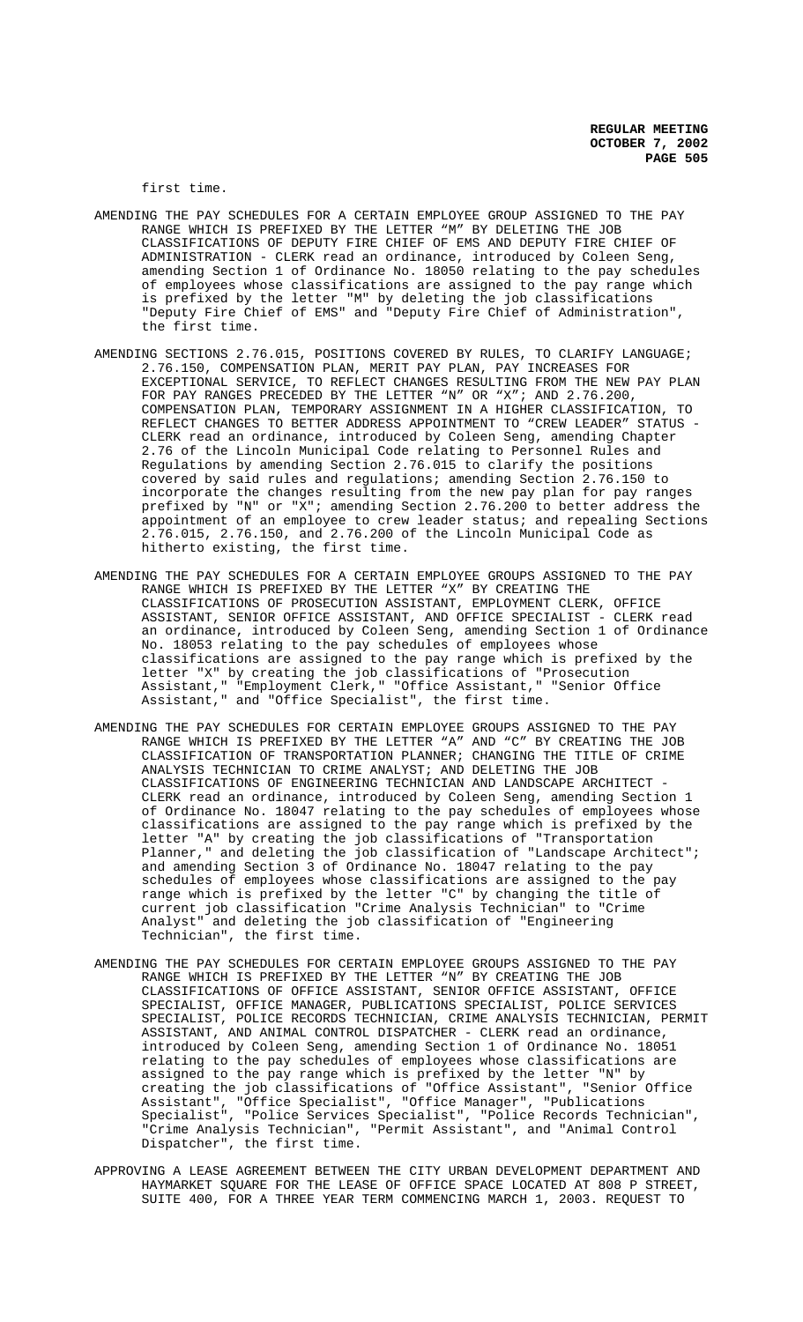first time.

- AMENDING THE PAY SCHEDULES FOR A CERTAIN EMPLOYEE GROUP ASSIGNED TO THE PAY RANGE WHICH IS PREFIXED BY THE LETTER "M" BY DELETING THE JOB CLASSIFICATIONS OF DEPUTY FIRE CHIEF OF EMS AND DEPUTY FIRE CHIEF OF ADMINISTRATION - CLERK read an ordinance, introduced by Coleen Seng, amending Section 1 of Ordinance No. 18050 relating to the pay schedules of employees whose classifications are assigned to the pay range which is prefixed by the letter "M" by deleting the job classifications "Deputy Fire Chief of EMS" and "Deputy Fire Chief of Administration", the first time.
- AMENDING SECTIONS 2.76.015, POSITIONS COVERED BY RULES, TO CLARIFY LANGUAGE; 2.76.150, COMPENSATION PLAN, MERIT PAY PLAN, PAY INCREASES FOR EXCEPTIONAL SERVICE, TO REFLECT CHANGES RESULTING FROM THE NEW PAY PLAN FOR PAY RANGES PRECEDED BY THE LETTER "N" OR "X"; AND 2.76.200, COMPENSATION PLAN, TEMPORARY ASSIGNMENT IN A HIGHER CLASSIFICATION, TO REFLECT CHANGES TO BETTER ADDRESS APPOINTMENT TO "CREW LEADER" STATUS - CLERK read an ordinance, introduced by Coleen Seng, amending Chapter 2.76 of the Lincoln Municipal Code relating to Personnel Rules and Regulations by amending Section 2.76.015 to clarify the positions covered by said rules and regulations; amending Section 2.76.150 to incorporate the changes resulting from the new pay plan for pay ranges prefixed by "N" or "X"; amending Section 2.76.200 to better address the -<br>appointment of an employee to crew leader status; and repealing Sections 2.76.015, 2.76.150, and 2.76.200 of the Lincoln Municipal Code as hitherto existing, the first time.
- AMENDING THE PAY SCHEDULES FOR A CERTAIN EMPLOYEE GROUPS ASSIGNED TO THE PAY RANGE WHICH IS PREFIXED BY THE LETTER "X" BY CREATING THE CLASSIFICATIONS OF PROSECUTION ASSISTANT, EMPLOYMENT CLERK, OFFICE ASSISTANT, SENIOR OFFICE ASSISTANT, AND OFFICE SPECIALIST - CLERK read an ordinance, introduced by Coleen Seng, amending Section 1 of Ordinance No. 18053 relating to the pay schedules of employees whose classifications are assigned to the pay range which is prefixed by the letter "X" by creating the job classifications of "Prosecution Assistant," "Employment Clerk," "Office Assistant," "Senior Office Assistant," and "Office Specialist", the first time.
- AMENDING THE PAY SCHEDULES FOR CERTAIN EMPLOYEE GROUPS ASSIGNED TO THE PAY RANGE WHICH IS PREFIXED BY THE LETTER "A" AND "C" BY CREATING THE JOB CLASSIFICATION OF TRANSPORTATION PLANNER; CHANGING THE TITLE OF CRIME ANALYSIS TECHNICIAN TO CRIME ANALYST; AND DELETING THE JOB CLASSIFICATIONS OF ENGINEERING TECHNICIAN AND LANDSCAPE ARCHITECT - CLERK read an ordinance, introduced by Coleen Seng, amending Section 1 of Ordinance No. 18047 relating to the pay schedules of employees whose classifications are assigned to the pay range which is prefixed by the letter "A" by creating the job classifications of "Transportation Planner," and deleting the job classification of "Landscape Architect"; and amending Section 3 of Ordinance No. 18047 relating to the pay schedules of employees whose classifications are assigned to the pay range which is prefixed by the letter "C" by changing the title of current job classification "Crime Analysis Technician" to "Crime Analyst" and deleting the job classification of "Engineering Technician", the first time.
- AMENDING THE PAY SCHEDULES FOR CERTAIN EMPLOYEE GROUPS ASSIGNED TO THE PAY RANGE WHICH IS PREFIXED BY THE LETTER "N" BY CREATING THE JOB CLASSIFICATIONS OF OFFICE ASSISTANT, SENIOR OFFICE ASSISTANT, OFFICE SPECIALIST, OFFICE MANAGER, PUBLICATIONS SPECIALIST, POLICE SERVICES SPECIALIST, POLICE RECORDS TECHNICIAN, CRIME ANALYSIS TECHNICIAN, PERMIT ASSISTANT, AND ANIMAL CONTROL DISPATCHER - CLERK read an ordinance, introduced by Coleen Seng, amending Section 1 of Ordinance No. 18051 relating to the pay schedules of employees whose classifications are assigned to the pay range which is prefixed by the letter "N" by creating the job classifications of "Office Assistant", "Senior Office Assistant", "Office Specialist", "Office Manager", "Publications Specialist", "Police Services Specialist", "Police Records Technician", "Crime Analysis Technician", "Permit Assistant", and "Animal Control Dispatcher", the first time.
- APPROVING A LEASE AGREEMENT BETWEEN THE CITY URBAN DEVELOPMENT DEPARTMENT AND HAYMARKET SQUARE FOR THE LEASE OF OFFICE SPACE LOCATED AT 808 P STREET, SUITE 400, FOR A THREE YEAR TERM COMMENCING MARCH 1, 2003. REQUEST TO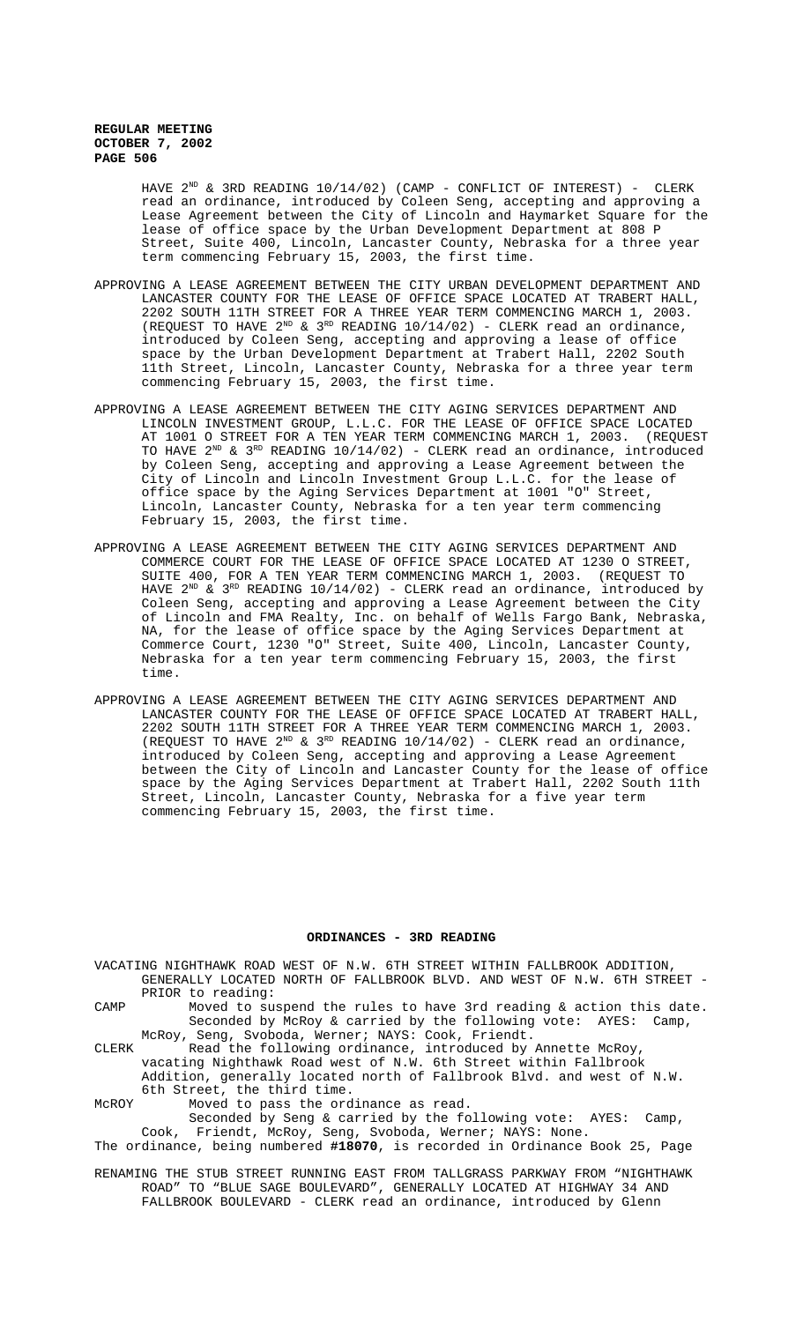> HAVE  $2^{ND}$  & 3RD READING 10/14/02) (CAMP - CONFLICT OF INTEREST) - CLERK read an ordinance, introduced by Coleen Seng, accepting and approving a Lease Agreement between the City of Lincoln and Haymarket Square for the lease of office space by the Urban Development Department at 808 P Street, Suite 400, Lincoln, Lancaster County, Nebraska for a three year term commencing February 15, 2003, the first time.

- APPROVING A LEASE AGREEMENT BETWEEN THE CITY URBAN DEVELOPMENT DEPARTMENT AND LANCASTER COUNTY FOR THE LEASE OF OFFICE SPACE LOCATED AT TRABERT HALL, 2202 SOUTH 11TH STREET FOR A THREE YEAR TERM COMMENCING MARCH 1, 2003. (REQUEST TO HAVE  $2^{ND}$  &  $3^{RD}$  READING 10/14/02) - CLERK read an ordinance, introduced by Coleen Seng, accepting and approving a lease of office space by the Urban Development Department at Trabert Hall, 2202 South 11th Street, Lincoln, Lancaster County, Nebraska for a three year term commencing February 15, 2003, the first time.
- APPROVING A LEASE AGREEMENT BETWEEN THE CITY AGING SERVICES DEPARTMENT AND LINCOLN INVESTMENT GROUP, L.L.C. FOR THE LEASE OF OFFICE SPACE LOCATED AT 1001 O STREET FOR A TEN YEAR TERM COMMENCING MARCH 1, 2003. (REQUEST TO HAVE  $2^{ND}$  &  $3^{RD}$  READING 10/14/02) - CLERK read an ordinance, introduced by Coleen Seng, accepting and approving a Lease Agreement between the City of Lincoln and Lincoln Investment Group L.L.C. for the lease of office space by the Aging Services Department at 1001 "O" Street, Lincoln, Lancaster County, Nebraska for a ten year term commencing February 15, 2003, the first time.
- APPROVING A LEASE AGREEMENT BETWEEN THE CITY AGING SERVICES DEPARTMENT AND COMMERCE COURT FOR THE LEASE OF OFFICE SPACE LOCATED AT 1230 O STREET, SUITE 400, FOR A TEN YEAR TERM COMMENCING MARCH 1, 2003. (REQUEST TO HAVE 2 $^{\text{\tiny 2^{ND}}}$  & 3 $^{\text{\tiny RD}}$  READING 10/14/02) - CLERK read an ordinance, introduced by Coleen Seng, accepting and approving a Lease Agreement between the City of Lincoln and FMA Realty, Inc. on behalf of Wells Fargo Bank, Nebraska, NA, for the lease of office space by the Aging Services Department at Commerce Court, 1230 "O" Street, Suite 400, Lincoln, Lancaster County, Nebraska for a ten year term commencing February 15, 2003, the first time.
- APPROVING A LEASE AGREEMENT BETWEEN THE CITY AGING SERVICES DEPARTMENT AND LANCASTER COUNTY FOR THE LEASE OF OFFICE SPACE LOCATED AT TRABERT HALL, 2202 SOUTH 11TH STREET FOR A THREE YEAR TERM COMMENCING MARCH 1, 2003. (REQUEST TO HAVE  $2^{ND}$  &  $3^{RD}$  READING  $10/14/02$ ) - CLERK read an ordinance, introduced by Coleen Seng, accepting and approving a Lease Agreement between the City of Lincoln and Lancaster County for the lease of office space by the Aging Services Department at Trabert Hall, 2202 South 11th Street, Lincoln, Lancaster County, Nebraska for a five year term commencing February 15, 2003, the first time.

# **ORDINANCES - 3RD READING**

| VACATING NIGHTHAWK ROAD WEST OF N.W. 6TH STREET WITHIN FALLBROOK ADDITION,    |  |
|-------------------------------------------------------------------------------|--|
| GENERALLY LOCATED NORTH OF FALLBROOK BLVD. AND WEST OF N.W. 6TH STREET -      |  |
| PRIOR to reading:                                                             |  |
| Moved to suspend the rules to have 3rd reading $\&$ action this date.<br>CAMP |  |
| Seconded by McRoy & carried by the following vote: AYES: Camp,                |  |
| McRoy, Seng, Svoboda, Werner; NAYS: Cook, Friendt.                            |  |
| Read the following ordinance, introduced by Annette McRoy,<br>CLERK           |  |
| vacating Nighthawk Road west of N.W. 6th Street within Fallbrook              |  |
| Addition, generally located north of Fallbrook Blvd. and west of N.W.         |  |
| 6th Street, the third time.                                                   |  |
| Moved to pass the ordinance as read.<br>MCROY                                 |  |
| Seconded by Seng & carried by the following vote: AYES:<br>Camp,              |  |
| Cook, Friendt, McRoy, Seng, Svoboda, Werner; NAYS: None.                      |  |
| The ordinance, being numbered #18070, is recorded in Ordinance Book 25, Page  |  |
|                                                                               |  |
| RENAMING THE STUB STREET RUNNING EAST FROM TALLGRASS PARKWAY FROM "NIGHTHAWK  |  |
| ROAD" TO "BLUE SAGE BOULEVARD", GENERALLY LOCATED AT HIGHWAY 34 AND           |  |

FALLBROOK BOULEVARD - CLERK read an ordinance, introduced by Glenn